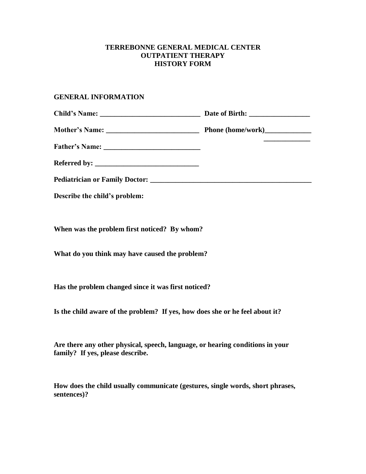### **TERREBONNE GENERAL MEDICAL CENTER OUTPATIENT THERAPY HISTORY FORM**

### **GENERAL INFORMATION**

| Describe the child's problem: |  |
|-------------------------------|--|

**When was the problem first noticed? By whom?**

**What do you think may have caused the problem?**

**Has the problem changed since it was first noticed?**

**Is the child aware of the problem? If yes, how does she or he feel about it?**

**Are there any other physical, speech, language, or hearing conditions in your family? If yes, please describe.**

**How does the child usually communicate (gestures, single words, short phrases, sentences)?**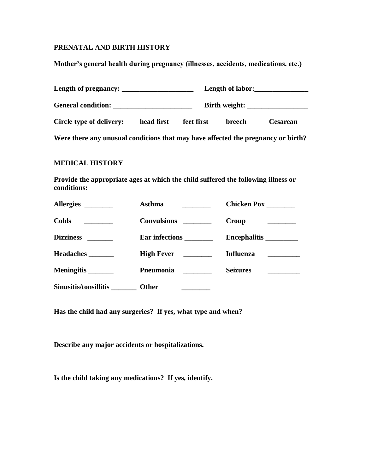# **PRENATAL AND BIRTH HISTORY**

**Mother's general health during pregnancy (illnesses, accidents, medications, etc.)**

| Length of pregnancy:                                                             |            |            |        | Length of labor:                                                                                                                                                                                                                                                                                                                                                                                                                            |
|----------------------------------------------------------------------------------|------------|------------|--------|---------------------------------------------------------------------------------------------------------------------------------------------------------------------------------------------------------------------------------------------------------------------------------------------------------------------------------------------------------------------------------------------------------------------------------------------|
|                                                                                  |            |            |        | Birth weight: $\frac{1}{\frac{1}{2} \cdot \frac{1}{2} \cdot \frac{1}{2} \cdot \frac{1}{2} \cdot \frac{1}{2} \cdot \frac{1}{2} \cdot \frac{1}{2} \cdot \frac{1}{2} \cdot \frac{1}{2} \cdot \frac{1}{2} \cdot \frac{1}{2} \cdot \frac{1}{2} \cdot \frac{1}{2} \cdot \frac{1}{2} \cdot \frac{1}{2} \cdot \frac{1}{2} \cdot \frac{1}{2} \cdot \frac{1}{2} \cdot \frac{1}{2} \cdot \frac{1}{2} \cdot \frac{1}{2} \cdot \frac{1}{2} \cdot \frac{$ |
| Circle type of delivery:                                                         | head first | feet first | breech | <b>Cesarean</b>                                                                                                                                                                                                                                                                                                                                                                                                                             |
| Were there any unusual conditions that may have affected the pregnancy or birth? |            |            |        |                                                                                                                                                                                                                                                                                                                                                                                                                                             |

### **MEDICAL HISTORY**

**Provide the appropriate ages at which the child suffered the following illness or conditions:**

| Allergies ________                                                                                      | Asthma                  | Chicken Pox                                |
|---------------------------------------------------------------------------------------------------------|-------------------------|--------------------------------------------|
| <b>Colds</b><br>$\mathcal{L}^{\text{max}}_{\text{max}}$ , where $\mathcal{L}^{\text{max}}_{\text{max}}$ | Convulsions ________    | Croup                                      |
|                                                                                                         | Ear infections ________ |                                            |
| <b>Headaches</b>                                                                                        | High Fever              | <b>Influenza</b>                           |
| Meningitis ________                                                                                     | <b>Pneumonia</b>        | <b>Seizures</b><br><u> 1989 - Jan Jawa</u> |
| Sinusitis/tonsillitis                                                                                   | Other                   |                                            |

**Has the child had any surgeries? If yes, what type and when?**

**Describe any major accidents or hospitalizations.**

**Is the child taking any medications? If yes, identify.**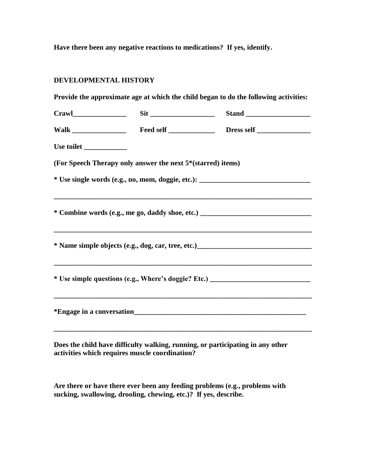**Have there been any negative reactions to medications? If yes, identify.**

# **DEVELOPMENTAL HISTORY**

**Provide the approximate age at which the child began to do the following activities:**

|                                                             | $\text{Sit}$ $\frac{1}{\text{Sit} + \text{Sit} + \text{Sit}}$ $\frac{1}{\text{Sit} + \text{Sit} + \text{Sit} + \text{Sit} + \text{Sit} + \text{Sit} + \text{Sit} + \text{Sit} + \text{Sit} + \text{Sit} + \text{Sit} + \text{Sit} + \text{Sit} + \text{Sit} + \text{Sit} + \text{Sit} + \text{Sit} + \text{Sit} + \text{Sit} + \text{Sit} + \text{Sit} + \text{Sit} + \text{Sit} + \text{Sit} + \text{Sit} + \text{$ |  |
|-------------------------------------------------------------|----------------------------------------------------------------------------------------------------------------------------------------------------------------------------------------------------------------------------------------------------------------------------------------------------------------------------------------------------------------------------------------------------------------------|--|
|                                                             |                                                                                                                                                                                                                                                                                                                                                                                                                      |  |
| Use toilet                                                  |                                                                                                                                                                                                                                                                                                                                                                                                                      |  |
| (For Speech Therapy only answer the next 5*(starred) items) |                                                                                                                                                                                                                                                                                                                                                                                                                      |  |
|                                                             | * Use single words (e.g., no, mom, doggie, etc.): _______________________________                                                                                                                                                                                                                                                                                                                                    |  |
|                                                             | ,我们也不能在这里的时候,我们也不能在这里的时候,我们也不能不能不能不能不能不能不能不能不能不能不能不能不能不能不能。""我们的是,我们也不能不能不能不能不能不能<br>* Combine words (e.g., me go, daddy shoe, etc.) ________________________________<br>* Name simple objects (e.g., dog, car, tree, etc.)_______________________________                                                                                                                                                           |  |
|                                                             | ,我们也不能在这里的时候,我们也不能在这里的时候,我们也不能会在这里的时候,我们也不能会在这里的时候,我们也不能会在这里的时候,我们也不能会在这里的时候,我们也不<br>* Use simple questions (e.g., Where's doggie? Etc.) ____________________________                                                                                                                                                                                                                                                |  |
|                                                             |                                                                                                                                                                                                                                                                                                                                                                                                                      |  |
|                                                             |                                                                                                                                                                                                                                                                                                                                                                                                                      |  |

**Does the child have difficulty walking, running, or participating in any other activities which requires muscle coordination?**

**Are there or have there ever been any feeding problems (e.g., problems with sucking, swallowing, drooling, chewing, etc.)? If yes, describe.**